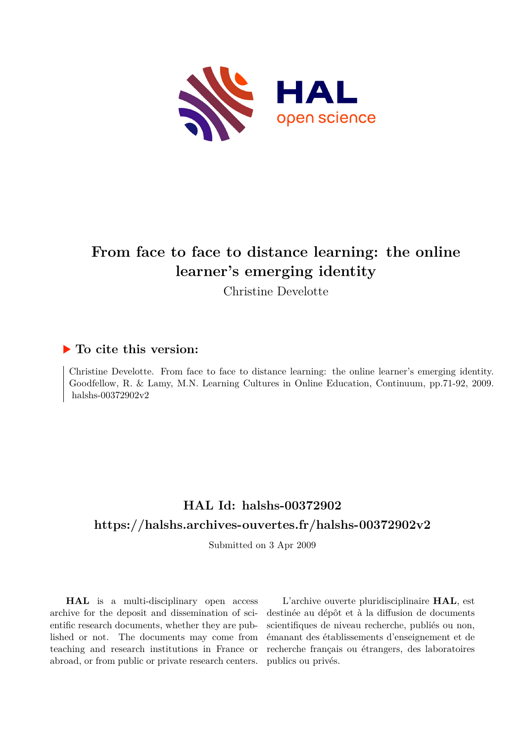

# **From face to face to distance learning: the online learner's emerging identity**

Christine Develotte

## **To cite this version:**

Christine Develotte. From face to face to distance learning: the online learner's emerging identity. Goodfellow, R. & Lamy, M.N. Learning Cultures in Online Education, Continuum, pp.71-92, 2009. halshs- $00372902v2$ 

# **HAL Id: halshs-00372902 <https://halshs.archives-ouvertes.fr/halshs-00372902v2>**

Submitted on 3 Apr 2009

**HAL** is a multi-disciplinary open access archive for the deposit and dissemination of scientific research documents, whether they are published or not. The documents may come from teaching and research institutions in France or abroad, or from public or private research centers.

L'archive ouverte pluridisciplinaire **HAL**, est destinée au dépôt et à la diffusion de documents scientifiques de niveau recherche, publiés ou non, émanant des établissements d'enseignement et de recherche français ou étrangers, des laboratoires publics ou privés.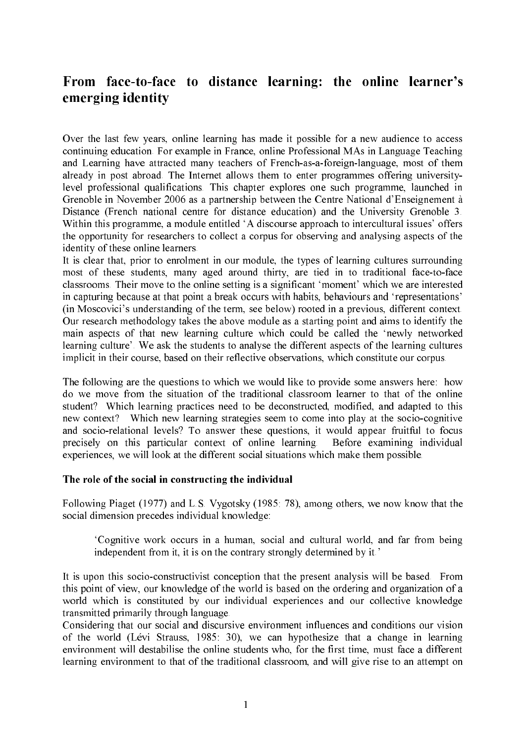# From face-to-face to distance learning: the online learner's emerging identity

Over the last few years, online learning has made it possible for a new audience to access continuing education. For example in France, online Professional MAs in Language Teaching and Learning have attracted many teachers of French-as-a-foreign-language, most of them already in post abroad. The Internet allows them to enter programmes offering universitylevel professional qualifications. This chapter explores one such programme, launched in Grenoble in November 2006 as a partnership between the Centre National d'Enseignement à Distance (French national centre for distance education) and the University Grenoble 3. Within this programme, a module entitled 'A discourse approach to intercultural issues' offers the opportunity for researchers to collect a corpus for observing and analysing aspects of the identity of these online learners.

It is clear that, prior to enrolment in our module, the types of learning cultures surrounding most of these students, many aged around thirty, are tied in to traditional face-to-face classrooms. Their move to the online setting is a significant 'moment' which we are interested in capturing because at that point a break occurs with habits, behaviours and 'representations' (in Moscovici's understanding of the term, see below) rooted in a previous, different context. Our research methodology takes the above module as a starting point and aims to identify the main aspects of that new learning culture which could be called the 'newly networked learning culture'. We ask the students to analyse the different aspects of the learning cultures implicit in their course, based on their reflective observations, which constitute our corpus.

The following are the questions to which we would like to provide some answers here: how do we move from the situation of the traditional classroom learner to that of the online student? Which learning practices need to be deconstructed, modified, and adapted to this new context? Which new learning strategies seem to come into play at the socio-cognitive and socio-relational levels? To answer these questions, it would appear fruitful to focus precisely on this particular context of online learning. Before examining individual experiences, we will look at the different social situations which make them possible.

#### The role of the social in constructing the individual

Following Piaget (1977) and L.S. Vygotsky (1985: 78), among others, we now know that the social dimension precedes individual knowledge:

'Cognitive work occurs in a human, social and cultural world, and far from being independent from it, it is on the contrary strongly determined by it.'

It is upon this socio-constructivist conception that the present analysis will be based. From this point of view, our knowledge of the world is based on the ordering and organization of a world which is constituted by our individual experiences and our collective knowledge transmitted primarily through language.

Considering that our social and discursive environment influences and conditions our vision of the world (Lévi Strauss, 1985: 30), we can hypothesize that a change in learning environment will destabilise the online students who, for the first time, must face a different learning environment to that of the traditional classroom, and will give rise to an attempt on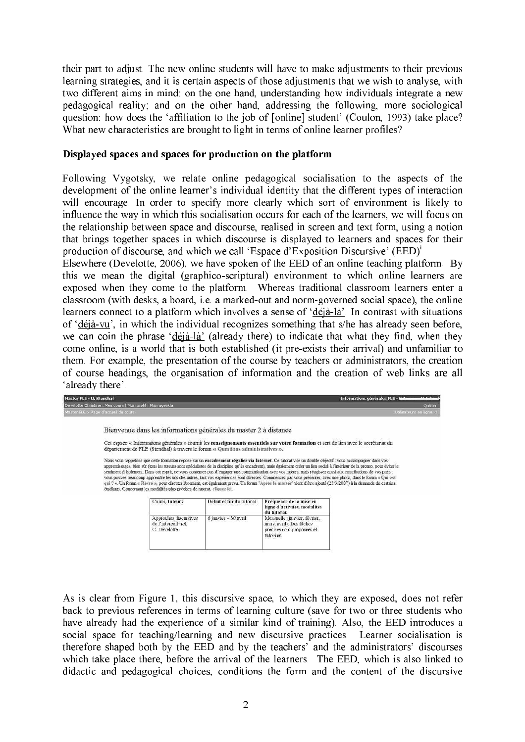their part to adjust. The new online students will have to make adjustments to their previous learning strategies, and it is certain aspects of those adjustments that we wish to analyse, with two different aims in mind: on the one hand, understanding how individuals integrate a new pedagogical reality; and on the other hand, addressing the following, more sociological question: how does the 'affiliation to the job of [online] student' (Coulon, 1993) take place? What new characteristics are brought to light in terms of online learner profiles?

#### Displayed spaces and spaces for production on the platform

Following Vygotsky, we relate online pedagogical socialisation to the aspects of the development of the online learner's individual identity that the different types of interaction will encourage. In order to specify more clearly which sort of environment is likely to influence the way in which this socialisation occurs for each of the learners, we will focus on the relationship between space and discourse, realised in screen and text form, using a notion that brings together spaces in which discourse is displayed to learners and spaces for their production of discourse, and which we call 'Espace d'Exposition Discursive' (EED)'.

Elsewhere (Develotte, 2006), we have spoken of the EED of an online teaching platform. By this we mean the digital (graphico-scriptural) environment to which online learners are exposed when they come to the platform. Whereas traditional classroom learners enter a classroom (with desks, a board, i.e. a marked-out and norm-governed social space), the online learners connect to a platform which involves a sense of 'déjà-là'. In contrast with situations of 'déjà-vu', in which the individual recognizes something that s/he has already seen before. we can coin the phrase 'déjà-là' (already there) to indicate that what they find, when they come online, is a world that is both established (it pre-exists their arrival) and unfamiliar to them. For example, the presentation of the course by teachers or administrators, the creation of course headings, the organisation of information and the creation of web links are all 'already there'.

| faster FLE - U. Stendhal                                  |                                                                                 |                         |                                                                                                                                                                                                                                                                                                                                                                                                                                                                                                                                                                                                                                                                | Informations générales FLE - Mai                                                                                                                                               |  |
|-----------------------------------------------------------|---------------------------------------------------------------------------------|-------------------------|----------------------------------------------------------------------------------------------------------------------------------------------------------------------------------------------------------------------------------------------------------------------------------------------------------------------------------------------------------------------------------------------------------------------------------------------------------------------------------------------------------------------------------------------------------------------------------------------------------------------------------------------------------------|--------------------------------------------------------------------------------------------------------------------------------------------------------------------------------|--|
| Develotte Christine : Mes cours   Mon profil   Mon agenda |                                                                                 |                         |                                                                                                                                                                                                                                                                                                                                                                                                                                                                                                                                                                                                                                                                | Quitter                                                                                                                                                                        |  |
| taster FLE > Page d'accueil du cours                      |                                                                                 |                         |                                                                                                                                                                                                                                                                                                                                                                                                                                                                                                                                                                                                                                                                | Utilisateurs en ligne: 1                                                                                                                                                       |  |
|                                                           | Bienvenue dans les informations générales du master 2 à distance                |                         |                                                                                                                                                                                                                                                                                                                                                                                                                                                                                                                                                                                                                                                                |                                                                                                                                                                                |  |
|                                                           | département de FLE (Stendhal) à travers le forum « Questions administratives ». |                         | Cet espace « Informations générales » fournit les renseignements essentiels sur votre formation et sert de lien avec le secrétariat du                                                                                                                                                                                                                                                                                                                                                                                                                                                                                                                         |                                                                                                                                                                                |  |
|                                                           | étudiants. Concernant les modalités plus précises de tutorat, cliquez ici.      |                         | Nous vous rappelons que cette formation repose sur un encadrement régulier via Internet. Ce tutorat vise un double objectif : vous accompagner dans vos<br>sentiment d'isolement. Dans cet esprit, ne vous contentez pas d'engager une communication avec vos tuteurs, mais réagissez aussi aux contributions de vos pairs :<br>vous pouvez beaucoup apprendre les uns des autres, tant vos expériences sont diverses. Commencez par vous présenter, avec une photo, dans le forum « Qui est<br>qui ? ». Un forum « Récré », pour discuter librement, est également prévu. Un forum "Après le master" vient d'être ajouté (23/3/2007) à la demande de certains | apprentissages, bien sur (tous les tuteurs sont spécialistes de la discipline qu'ils encadrent), mais également créer un lien social à l'intérieur de la promo, pour éviter le |  |
|                                                           | Cours, tuteurs                                                                  | Début et fin du tutorat | Fréquence de la mise en<br>ligne d'activités, modalités<br>du tutorat                                                                                                                                                                                                                                                                                                                                                                                                                                                                                                                                                                                          |                                                                                                                                                                                |  |
|                                                           | Approches discursives<br>de l'interculturel.<br>C. Develotte                    | 6 janvier - 30 avril    | Mensuelle (janvier, février,<br>mars, avril). Des tâches<br>précisés sont proposées et<br>tutorees.                                                                                                                                                                                                                                                                                                                                                                                                                                                                                                                                                            |                                                                                                                                                                                |  |

As is clear from Figure 1, this discursive space, to which they are exposed, does not refer back to previous references in terms of learning culture (save for two or three students who have already had the experience of a similar kind of training). Also, the EED introduces a social space for teaching/learning and new discursive practices. Learner socialisation is therefore shaped both by the EED and by the teachers' and the administrators' discourses which take place there, before the arrival of the learners. The EED, which is also linked to didactic and pedagogical choices, conditions the form and the content of the discursive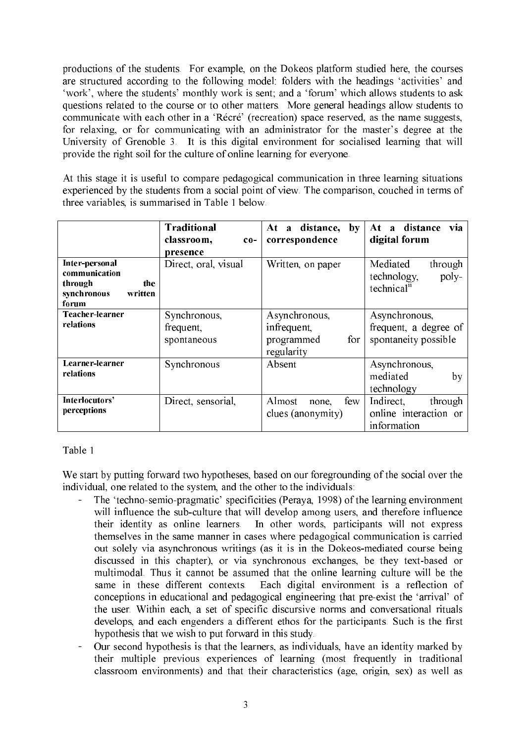productions of the students. For example, on the Dokeos platform studied here, the courses are structured according to the following model: folders with the headings 'activities' and 'work', where the students' monthly work is sent; and a 'forum' which allows students to ask questions related to the course or to other matters. More general headings allow students to communicate with each other in a 'Récré' (recreation) space reserved, as the name suggests, for relaxing, or for communicating with an administrator for the master's degree at the University of Grenoble 3. It is this digital environment for socialised learning that will provide the right soil for the culture of online learning for everyone.

At this stage it is useful to compare pedagogical communication in three learning situations experienced by the students from a social point of view. The comparison, couched in terms of three variables, is summarised in Table 1 below.

|                                                                                       | <b>Traditional</b><br>classroom,<br>$co-$<br>presence | distance,<br>At a<br>$\mathbf{b}\mathbf{v}$<br>correspondence   | At a distance<br><b>via</b><br>digital forum                           |
|---------------------------------------------------------------------------------------|-------------------------------------------------------|-----------------------------------------------------------------|------------------------------------------------------------------------|
| Inter-personal<br>communication<br>through<br>the.<br>synchronous<br>written<br>forum | Direct, oral, visual                                  | Written, on paper                                               | Mediated<br>through<br>poly-<br>technology,<br>technical <sup>11</sup> |
| Teacher-learner<br>relations                                                          | Synchronous,<br>frequent,<br>spontaneous              | Asynchronous,<br>infrequent,<br>programmed<br>for<br>regularity | Asynchronous,<br>frequent, a degree of<br>spontaneity possible         |
| Learner-learner<br>relations                                                          | Synchronous                                           | Absent                                                          | Asynchronous,<br>mediated<br>by<br>technology                          |
| Interlocutors'<br>perceptions                                                         | Direct, sensorial,                                    | Almost<br>few<br>none.<br>clues (anonymity)                     | Indirect,<br>through<br>online interaction or<br>information           |

## Table 1

We start by putting forward two hypotheses, based on our foregrounding of the social over the individual, one related to the system, and the other to the individuals:

- The 'techno-semio-pragmatic' specificities (Peraya, 1998) of the learning environment will influence the sub-culture that will develop among users, and therefore influence their identity as online learners. In other words, participants will not express themselves in the same manner in cases where pedagogical communication is carried out solely via asynchronous writings (as it is in the Dokeos-mediated course being discussed in this chapter), or via synchronous exchanges, be they text-based or multimodal. Thus it cannot be assumed that the online learning culture will be the same in these different contexts. Each digital environment is a reflection of conceptions in educational and pedagogical engineering that pre-exist the 'arrival' of the user. Within each, a set of specific discursive norms and conversational rituals develops, and each engenders a different ethos for the participants. Such is the first hypothesis that we wish to put forward in this study.
- Our second hypothesis is that the learners, as individuals, have an identity marked by their multiple previous experiences of learning (most frequently in traditional classroom environments) and that their characteristics (age, origin, sex) as well as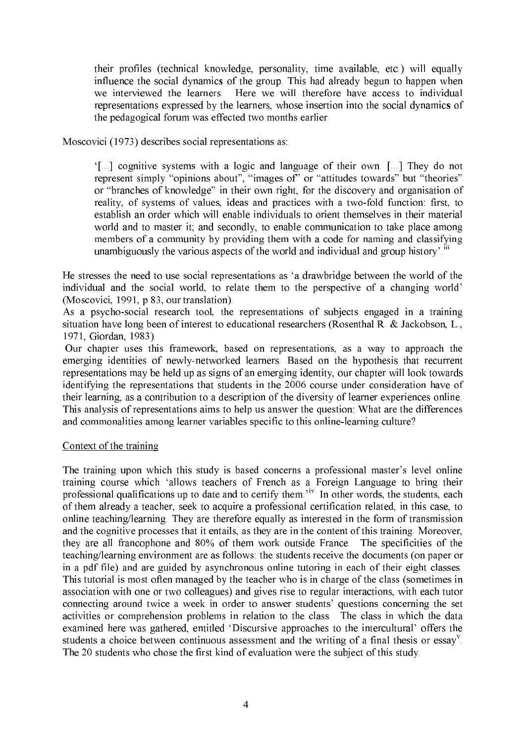their profiles (technical knowledge, personality, time available, etc.) will equally influence the social dynamics of the group. This had already begun to happen when we interviewed the learners. Here we will therefore have access to individual representations expressed by the learners, whose insertion into the social dynamics of the pedagogical forum was effected two months earlier.

Moscovici (1973) describes social representations as:

'[...] cognitive systems with a logic and language of their own. [...] They do not represent simply "opinions about", "images of" or "attitudes towards" but "theories" or "branches of knowledge" in their own right, for the discovery and organisation of reality, of systems of values, ideas and practices with a two-fold function: first, to establish an order which will enable individuals to orient themselves in their material world and to master it; and secondly, to enable communication to take place among members of a community by providing them with a code for naming and classifying unambiguously the various aspects of the world and individual and group history'.<sup>111</sup>

He stresses the need to use social representations as 'a drawbridge between the world of the individual and the social world, to relate them to the perspective of a changing world' (Moscovici, 1991, p 83, our translation).

As a psycho-social research tool, the representations of subjects engaged in a training situation have long been of interest to educational researchers (Rosenthal R. & Jackobson, L., 1971, Giordan, 1983).

Our chapter uses this framework, based on representations, as a way to approach the emerging identities of newly-networked learners. Based on the hypothesis that recurrent representations may be held up as signs of an emerging identity, our chapter will look towards identifying the representations that students in the 2006 course under consideration have of their learning, as a contribution to a description of the diversity of learner experiences online. This analysis of representations aims to help us answer the question: What are the differences and commonalities among learner variables specific to this online-learning culture?

#### Context of the training

The training upon which this study is based concerns a professional master's level online training course which 'allows teachers of French as a Foreign Language to bring their professional qualifications up to date and to certify them.<sup>iv</sup> In other words, the students, each of them already a teacher, seek to acquire a professional certification related, in this case, to online teaching/learning. They are therefore equally as interested in the form of transmission and the cognitive processes that it entails, as they are in the content of this training. Moreover, they are all francophone and 80% of them work outside France. The specificities of the teaching/learning environment are as follows: the students receive the documents (on paper or in a pdf file) and are guided by asynchronous online tutoring in each of their eight classes. This tutorial is most often managed by the teacher who is in charge of the class (sometimes in association with one or two colleagues) and gives rise to regular interactions, with each tutor connecting around twice a week in order to answer students' questions concerning the set activities or comprehension problems in relation to the class. The class in which the data examined here was gathered, entitled 'Discursive approaches to the intercultural' offers the students a choice between continuous assessment and the writing of a final thesis or essay<sup>v</sup>. The 20 students who chose the first kind of evaluation were the subject of this study.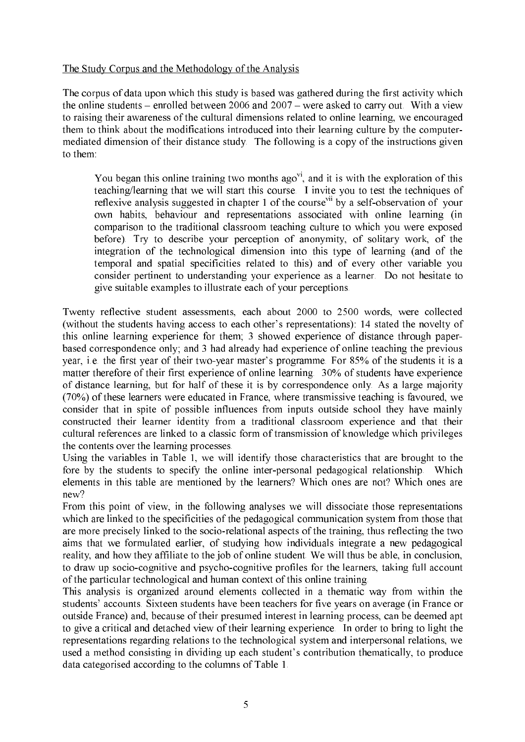## The Study Corpus and the Methodology of the Analysis

The corpus of data upon which this study is based was gathered during the first activity which the online students – enrolled between  $2006$  and  $2007$  – were asked to carry out. With a view to raising their awareness of the cultural dimensions related to online learning, we encouraged them to think about the modifications introduced into their learning culture by the computermediated dimension of their distance study. The following is a copy of the instructions given to them

You began this online training two months ago<sup>vi</sup>, and it is with the exploration of this teaching/learning that we will start this course. I invite you to test the techniques of reflexive analysis suggested in chapter 1 of the course<sup>vii</sup> by a self-observation of your own habits, behaviour and representations associated with online learning (in comparison to the traditional classroom teaching culture to which you were exposed before). Try to describe your perception of anonymity, of solitary work, of the integration of the technological dimension into this type of learning (and of the temporal and spatial specificities related to this) and of every other variable you consider pertinent to understanding your experience as a learner. Do not hesitate to give suitable examples to illustrate each of your perceptions.

Twenty reflective student assessments, each about 2000 to 2500 words, were collected (without the students having access to each other's representations): 14 stated the novelty of this online learning experience for them; 3 showed experience of distance through paperbased correspondence only; and 3 had already had experience of online teaching the previous year, i.e. the first year of their two-year master's programme. For 85% of the students it is a matter therefore of their first experience of online learning. 30% of students have experience of distance learning, but for half of these it is by correspondence only. As a large majority (70%) of these learners were educated in France, where transmissive teaching is favoured, we consider that in spite of possible influences from inputs outside school they have mainly constructed their learner identity from a traditional classroom experience and that their cultural references are linked to a classic form of transmission of knowledge which privileges the contents over the learning processes.

Using the variables in Table 1, we will identify those characteristics that are brought to the fore by the students to specify the online inter-personal pedagogical relationship. Which elements in this table are mentioned by the learners? Which ones are not? Which ones are  $new?$ 

From this point of view, in the following analyses we will dissociate those representations which are linked to the specificities of the pedagogical communication system from those that are more precisely linked to the socio-relational aspects of the training, thus reflecting the two aims that we formulated earlier, of studying how individuals integrate a new pedagogical reality, and how they affiliate to the job of online student. We will thus be able, in conclusion, to draw up socio-cognitive and psycho-cognitive profiles for the learners, taking full account of the particular technological and human context of this online training.

This analysis is organized around elements collected in a thematic way from within the students' accounts. Sixteen students have been teachers for five years on average (in France or outside France) and, because of their presumed interest in learning process, can be deemed apt to give a critical and detached view of their learning experience. In order to bring to light the representations regarding relations to the technological system and interpersonal relations, we used a method consisting in dividing up each student's contribution thematically, to produce data categorised according to the columns of Table 1.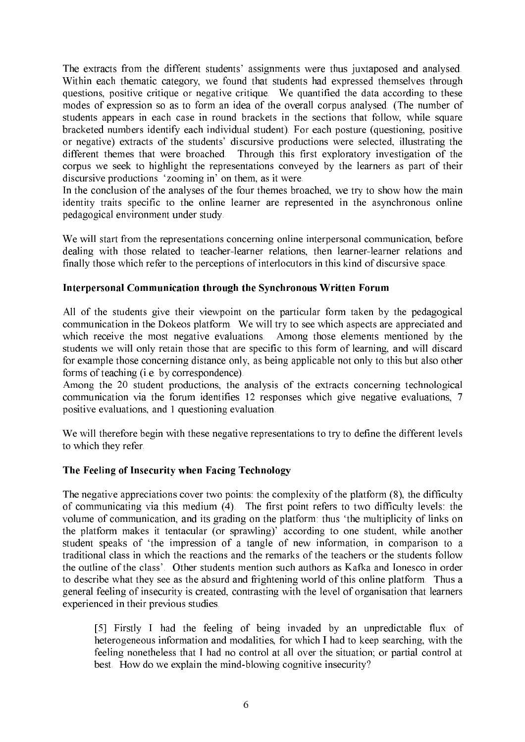The extracts from the different students' assignments were thus juxtaposed and analysed. Within each thematic category, we found that students had expressed themselves through questions, positive critique or negative critique. We quantified the data according to these modes of expression so as to form an idea of the overall corpus analysed. (The number of students appears in each case in round brackets in the sections that follow, while square bracketed numbers identify each individual student). For each posture (questioning, positive or negative) extracts of the students' discursive productions were selected, illustrating the different themes that were broached. Through this first exploratory investigation of the corpus we seek to highlight the representations conveyed by the learners as part of their discursive productions 'zooming in' on them, as it were.

In the conclusion of the analyses of the four themes broached, we try to show how the main identity traits specific to the online learner are represented in the asynchronous online pedagogical environment under study.

We will start from the representations concerning online interpersonal communication, before dealing with those related to teacher-learner relations, then learner-learner relations and finally those which refer to the perceptions of interlocutors in this kind of discursive space.

## Interpersonal Communication through the Synchronous Written Forum

All of the students give their viewpoint on the particular form taken by the pedagogical communication in the Dokeos platform. We will try to see which aspects are appreciated and which receive the most negative evaluations. Among those elements mentioned by the students we will only retain those that are specific to this form of learning, and will discard for example those concerning distance only, as being applicable not only to this but also other forms of teaching (i.e. by correspondence).

Among the 20 student productions, the analysis of the extracts concerning technological communication via the forum identifies 12 responses which give negative evaluations, 7 positive evaluations, and 1 questioning evaluation.

We will therefore begin with these negative representations to try to define the different levels to which they refer.

#### The Feeling of Insecurity when Facing Technology

The negative appreciations cover two points: the complexity of the platform (8), the difficulty of communicating via this medium (4). The first point refers to two difficulty levels: the volume of communication, and its grading on the platform; thus 'the multiplicity of links on the platform makes it tentacular (or sprawling)' according to one student, while another student speaks of 'the impression of a tangle of new information, in comparison to a traditional class in which the reactions and the remarks of the teachers or the students follow the outline of the class'. Other students mention such authors as Kafka and Ionesco in order to describe what they see as the absurd and frightening world of this online platform. Thus a general feeling of insecurity is created, contrasting with the level of organisation that learners experienced in their previous studies.

[5] Firstly I had the feeling of being invaded by an unpredictable flux of heterogeneous information and modalities, for which I had to keep searching, with the feeling nonetheless that I had no control at all over the situation; or partial control at best. How do we explain the mind-blowing cognitive insecurity?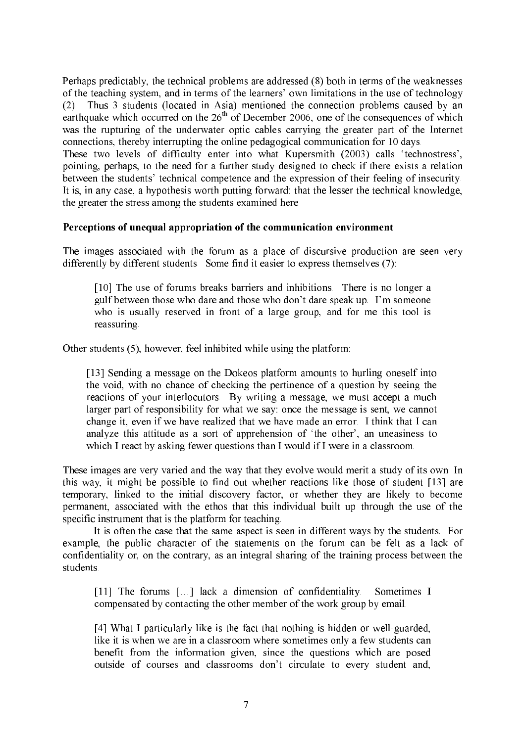Perhaps predictably, the technical problems are addressed (8) both in terms of the weaknesses of the teaching system, and in terms of the learners' own limitations in the use of technology Thus 3 students (located in Asia) mentioned the connection problems caused by an  $(2)$ . earthquake which occurred on the 26<sup>th</sup> of December 2006, one of the consequences of which was the rupturing of the underwater optic cables carrying the greater part of the Internet connections, thereby interrupting the online pedagogical communication for 10 days. These two levels of difficulty enter into what Kupersmith (2003) calls 'technostress', pointing, perhaps, to the need for a further study designed to check if there exists a relation between the students' technical competence and the expression of their feeling of insecurity. It is, in any case, a hypothesis worth putting forward: that the lesser the technical knowledge, the greater the stress among the students examined here.

#### Perceptions of unequal appropriation of the communication environment

The images associated with the forum as a place of discursive production are seen very differently by different students. Some find it easier to express themselves (7):

[10] The use of forums breaks barriers and inhibitions. There is no longer a gulf between those who dare and those who don't dare speak up. I'm someone who is usually reserved in front of a large group, and for me this tool is reassuring.

Other students (5), however, feel inhibited while using the platform:

[13] Sending a message on the Dokeos platform amounts to hurling oneself into the void, with no chance of checking the pertinence of a question by seeing the reactions of your interlocutors. By writing a message, we must accept a much larger part of responsibility for what we say: once the message is sent, we cannot change it, even if we have realized that we have made an error. I think that I can analyze this attitude as a sort of apprehension of 'the other', an uneasiness to which I react by asking fewer questions than I would if I were in a classroom.

These images are very varied and the way that they evolve would merit a study of its own. In this way, it might be possible to find out whether reactions like those of student [13] are temporary, linked to the initial discovery factor, or whether they are likely to become permanent, associated with the ethos that this individual built up through the use of the specific instrument that is the platform for teaching.

It is often the case that the same aspect is seen in different ways by the students. For example, the public character of the statements on the forum can be felt as a lack of confidentiality or, on the contrary, as an integral sharing of the training process between the students.

[11] The forums [...] lack a dimension of confidentiality Sometimes I compensated by contacting the other member of the work group by email.

[4] What I particularly like is the fact that nothing is hidden or well-guarded, like it is when we are in a classroom where sometimes only a few students can benefit from the information given, since the questions which are posed outside of courses and classrooms don't circulate to every student and,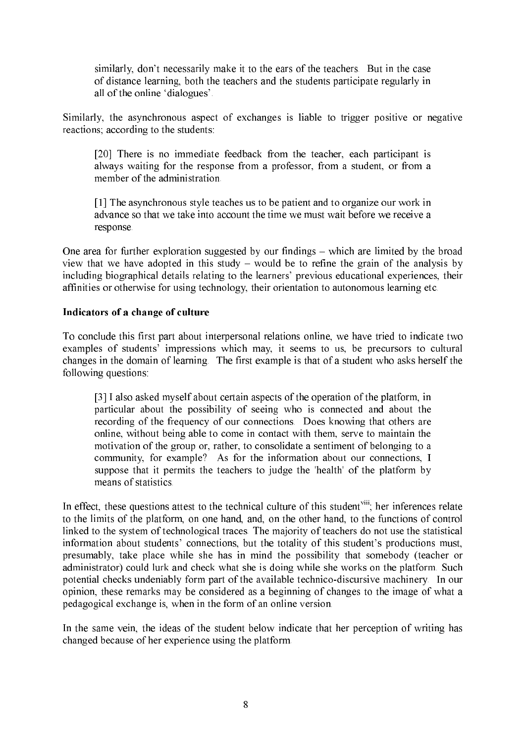similarly, don't necessarily make it to the ears of the teachers. But in the case of distance learning, both the teachers and the students participate regularly in all of the online 'dialogues'.

Similarly, the asynchronous aspect of exchanges is liable to trigger positive or negative reactions; according to the students:

[20] There is no immediate feedback from the teacher, each participant is always waiting for the response from a professor, from a student, or from a member of the administration.

[1] The asynchronous style teaches us to be patient and to organize our work in advance so that we take into account the time we must wait before we receive a response.

One area for further exploration suggested by our findings  $-$  which are limited by the broad view that we have adopted in this study – would be to refine the grain of the analysis by including biographical details relating to the learners' previous educational experiences, their affinities or otherwise for using technology, their orientation to autonomous learning etc.

#### Indicators of a change of culture

To conclude this first part about interpersonal relations online, we have tried to indicate two examples of students' impressions which may, it seems to us, be precursors to cultural changes in the domain of learning. The first example is that of a student who asks herself the following questions:

[3] I also asked myself about certain aspects of the operation of the platform, in particular about the possibility of seeing who is connected and about the recording of the frequency of our connections. Does knowing that others are online, without being able to come in contact with them, serve to maintain the motivation of the group or, rather, to consolidate a sentiment of belonging to a community, for example? As for the information about our connections, I suppose that it permits the teachers to judge the 'health' of the platform by means of statistics.

In effect, these questions attest to the technical culture of this student in the inferences relate to the limits of the platform, on one hand, and, on the other hand, to the functions of control linked to the system of technological traces. The majority of teachers do not use the statistical information about students' connections, but the totality of this student's productions must, presumably, take place while she has in mind the possibility that somebody (teacher or administrator) could lurk and check what she is doing while she works on the platform. Such potential checks undeniably form part of the available technico-discursive machinery. In our opinion, these remarks may be considered as a beginning of changes to the image of what a pedagogical exchange is, when in the form of an online version.

In the same vein, the ideas of the student below indicate that her perception of writing has changed because of her experience using the platform.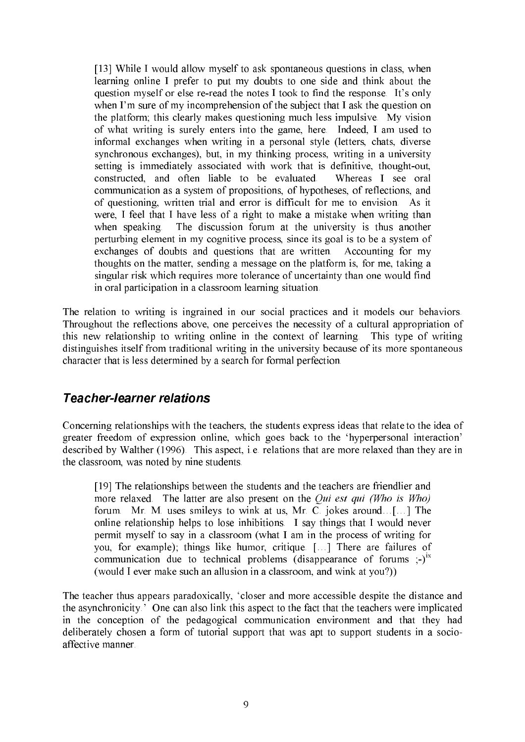[13] While I would allow myself to ask spontaneous questions in class, when learning online I prefer to put my doubts to one side and think about the question myself or else re-read the notes I took to find the response. It's only when I'm sure of my incomprehension of the subject that I ask the question on the platform; this clearly makes questioning much less impulsive. My vision of what writing is surely enters into the game, here. Indeed, I am used to informal exchanges when writing in a personal style (letters, chats, diverse synchronous exchanges), but, in my thinking process, writing in a university setting is immediately associated with work that is definitive, thought-out, constructed, and often liable to be evaluated. Whereas I see oral communication as a system of propositions, of hypotheses, of reflections, and of questioning, written trial and error is difficult for me to envision. As it were, I feel that I have less of a right to make a mistake when writing than when speaking. The discussion forum at the university is thus another perturbing element in my cognitive process, since its goal is to be a system of exchanges of doubts and questions that are written. Accounting for my thoughts on the matter, sending a message on the platform is, for me, taking a singular risk which requires more tolerance of uncertainty than one would find in oral participation in a classroom learning situation.

The relation to writing is ingrained in our social practices and it models our behaviors. Throughout the reflections above, one perceives the necessity of a cultural appropriation of this new relationship to writing online in the context of learning. This type of writing distinguishes itself from traditional writing in the university because of its more spontaneous character that is less determined by a search for formal perfection.

## **Teacher-learner relations**

Concerning relationships with the teachers, the students express ideas that relate to the idea of greater freedom of expression online, which goes back to the 'hyperpersonal interaction' described by Walther (1996). This aspect, i.e. relations that are more relaxed than they are in the classroom, was noted by nine students.

[19] The relationships between the students and the teachers are friendlier and more relaxed. The latter are also present on the *Oui est qui (Who is Who)* forum. Mr. M. uses smileys to wink at us, Mr. C. jokes around...[...] The online relationship helps to lose inhibitions. I say things that I would never permit myself to say in a classroom (what I am in the process of writing for you, for example); things like humor, critique. [...] There are failures of communication due to technical problems (disappearance of forums  $\left(-\right)^{ix}$ (would I ever make such an allusion in a classroom, and wink at you?))

The teacher thus appears paradoxically, 'closer and more accessible despite the distance and the asynchronicity. One can also link this aspect to the fact that the teachers were implicated in the conception of the pedagogical communication environment and that they had deliberately chosen a form of tutorial support that was apt to support students in a socioaffective manner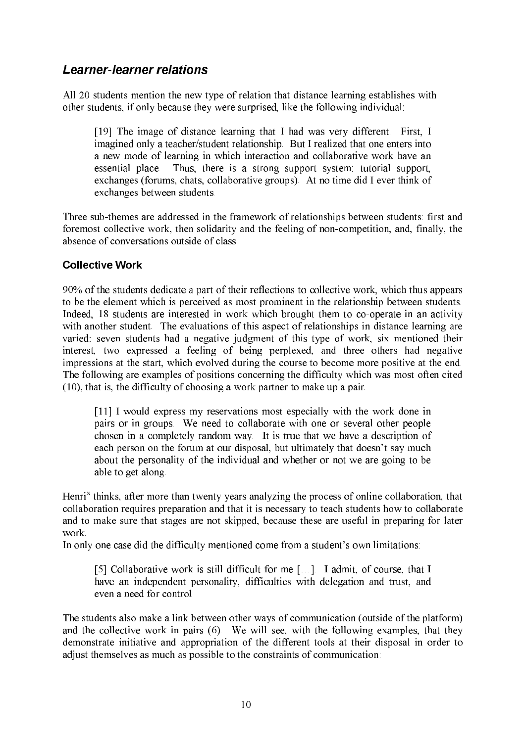# Learner-learner relations

All 20 students mention the new type of relation that distance learning establishes with other students, if only because they were surprised, like the following individual:

[19] The image of distance learning that I had was very different. First, I imagined only a teacher/student relationship. But I realized that one enters into a new mode of learning in which interaction and collaborative work have an Thus, there is a strong support system: tutorial support, essential place. exchanges (forums, chats, collaborative groups). At no time did I ever think of exchanges between students.

Three sub-themes are addressed in the framework of relationships between students: first and foremost collective work, then solidarity and the feeling of non-competition, and, finally, the absence of conversations outside of class.

## **Collective Work**

90% of the students dedicate a part of their reflections to collective work, which thus appears to be the element which is perceived as most prominent in the relationship between students. Indeed, 18 students are interested in work which brought them to co-operate in an activity with another student. The evaluations of this aspect of relationships in distance learning are varied: seven students had a negative judgment of this type of work, six mentioned their interest, two expressed a feeling of being perplexed, and three others had negative impressions at the start, which evolved during the course to become more positive at the end. The following are examples of positions concerning the difficulty which was most often cited (10), that is, the difficulty of choosing a work partner to make up a pair.

[11] I would express my reservations most especially with the work done in pairs or in groups. We need to collaborate with one or several other people chosen in a completely random way. It is true that we have a description of each person on the forum at our disposal, but ultimately that doesn't say much about the personality of the individual and whether or not we are going to be able to get along.

Henri<sup>x</sup> thinks, after more than twenty years analyzing the process of online collaboration, that collaboration requires preparation and that it is necessary to teach students how to collaborate and to make sure that stages are not skipped, because these are useful in preparing for later work

In only one case did the difficulty mentioned come from a student's own limitations:

[5] Collaborative work is still difficult for me [...]. I admit, of course, that I have an independent personality, difficulties with delegation and trust, and even a need for control

The students also make a link between other ways of communication (outside of the platform) and the collective work in pairs (6). We will see, with the following examples, that they demonstrate initiative and appropriation of the different tools at their disposal in order to adjust themselves as much as possible to the constraints of communication.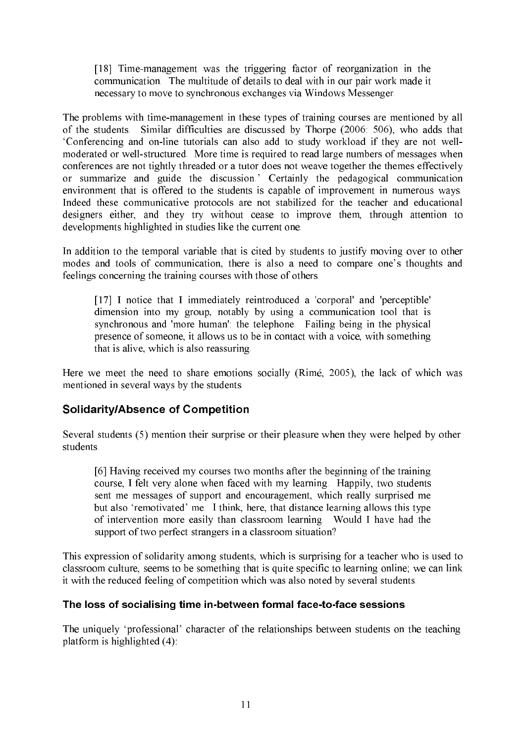[18] Time-management was the triggering factor of reorganization in the communication. The multitude of details to deal with in our pair work made it necessary to move to synchronous exchanges via Windows Messenger.

The problems with time-management in these types of training courses are mentioned by all of the students. Similar difficulties are discussed by Thorpe (2006: 506), who adds that 'Conferencing and on-line tutorials can also add to study workload if they are not wellmoderated or well-structured. More time is required to read large numbers of messages when conferences are not tightly threaded or a tutor does not weave together the themes effectively or summarize and guide the discussion.' Certainly the pedagogical communication environment that is offered to the students is capable of improvement in numerous ways. Indeed these communicative protocols are not stabilized for the teacher and educational designers either, and they try without cease to improve them, through attention to developments highlighted in studies like the current one.

In addition to the temporal variable that is cited by students to justify moving over to other modes and tools of communication, there is also a need to compare one's thoughts and feelings concerning the training courses with those of others.

[17] I notice that I immediately reintroduced a 'corporal' and 'perceptible' dimension into my group, notably by using a communication tool that is synchronous and 'more human': the telephone. Failing being in the physical presence of someone, it allows us to be in contact with a voice, with something that is alive, which is also reassuring.

Here we meet the need to share emotions socially (Rimé, 2005), the lack of which was mentioned in several ways by the students.

## **Solidarity/Absence of Competition**

Several students (5) mention their surprise or their pleasure when they were helped by other students.

[6] Having received my courses two months after the beginning of the training course, I felt very alone when faced with my learning. Happily, two students sent me messages of support and encouragement, which really surprised me but also 'remotivated' me. I think, here, that distance learning allows this type of intervention more easily than classroom learning. Would I have had the support of two perfect strangers in a classroom situation?

This expression of solidarity among students, which is surprising for a teacher who is used to classroom culture, seems to be something that is quite specific to learning online; we can link it with the reduced feeling of competition which was also noted by several students.

## The loss of socialising time in-between formal face-to-face sessions

The uniquely 'professional' character of the relationships between students on the teaching platform is highlighted  $(4)$ :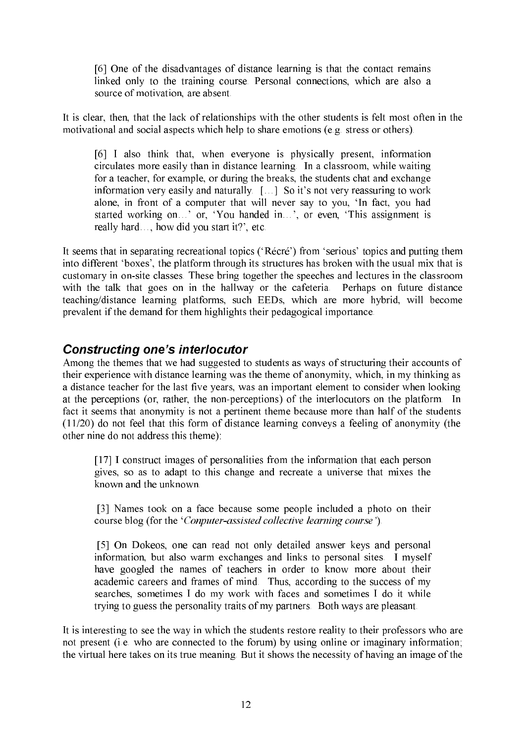[6] One of the disadvantages of distance learning is that the contact remains linked only to the training course. Personal connections, which are also a source of motivation, are absent.

It is clear, then, that the lack of relationships with the other students is felt most often in the motivational and social aspects which help to share emotions (e.g. stress or others).

[6] I also think that, when everyone is physically present, information circulates more easily than in distance learning. In a classroom, while waiting for a teacher, for example, or during the breaks, the students chat and exchange information very easily and naturally. [...] So it's not very reassuring to work alone, in front of a computer that will never say to you, 'In fact, you had started working on...' or, 'You handed in...', or even, 'This assignment is really hard..., how did you start it?', etc.

It seems that in separating recreational topics ('Récré') from 'serious' topics and putting them into different 'boxes', the platform through its structures has broken with the usual mix that is customary in on-site classes. These bring together the speeches and lectures in the classroom with the talk that goes on in the hallway or the cafeteria. Perhaps on future distance teaching/distance learning platforms, such EEDs, which are more hybrid, will become prevalent if the demand for them highlights their pedagogical importance.

## **Constructing one's interlocutor**

Among the themes that we had suggested to students as ways of structuring their accounts of their experience with distance learning was the theme of anonymity, which, in my thinking as a distance teacher for the last five years, was an important element to consider when looking at the perceptions (or, rather, the non-perceptions) of the interlocutors on the platform. In fact it seems that anonymity is not a pertinent theme because more than half of the students  $(11/20)$  do not feel that this form of distance learning conveys a feeling of anonymity (the other nine do not address this theme):

[17] I construct images of personalities from the information that each person gives, so as to adapt to this change and recreate a universe that mixes the known and the unknown.

[3] Names took on a face because some people included a photo on their course blog (for the 'Conputer-assisted collective learning course').

[5] On Dokeos, one can read not only detailed answer keys and personal information, but also warm exchanges and links to personal sites. I myself have googled the names of teachers in order to know more about their academic careers and frames of mind. Thus, according to the success of my searches, sometimes I do my work with faces and sometimes I do it while trying to guess the personality traits of my partners. Both ways are pleasant.

It is interesting to see the way in which the students restore reality to their professors who are not present (i.e. who are connected to the forum) by using online or imaginary information; the virtual here takes on its true meaning. But it shows the necessity of having an image of the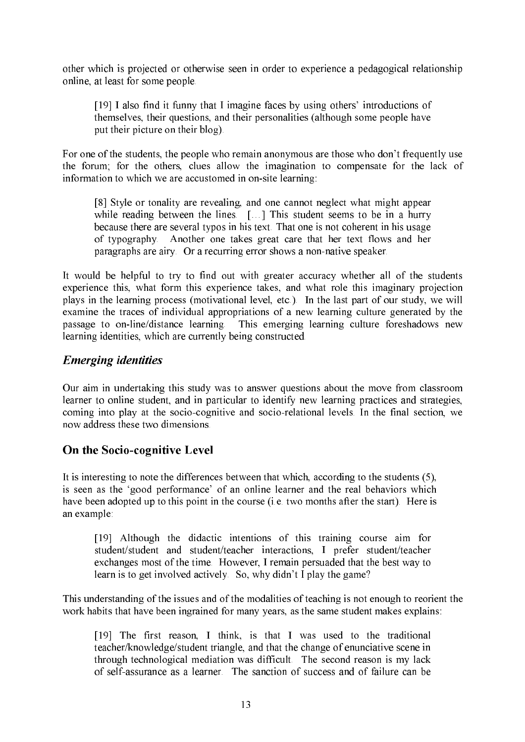other which is projected or otherwise seen in order to experience a pedagogical relationship online, at least for some people.

[19] I also find it funny that I imagine faces by using others' introductions of themselves, their questions, and their personalities (although some people have put their picture on their blog).

For one of the students, the people who remain anonymous are those who don't frequently use the forum; for the others, clues allow the imagination to compensate for the lack of information to which we are accustomed in on-site learning:

[8] Style or tonality are revealing, and one cannot neglect what might appear while reading between the lines. [...] This student seems to be in a hurry because there are several typos in his text. That one is not coherent in his usage of typography. Another one takes great care that her text flows and her paragraphs are airy. Or a recurring error shows a non-native speaker.

It would be helpful to try to find out with greater accuracy whether all of the students experience this, what form this experience takes, and what role this imaginary projection plays in the learning process (motivational level, etc.). In the last part of our study, we will examine the traces of individual appropriations of a new learning culture generated by the passage to on-line/distance learning. This emerging learning culture foreshadows new learning identities, which are currently being constructed.

## **Emerging identities**

Our aim in undertaking this study was to answer questions about the move from classroom learner to online student, and in particular to identify new learning practices and strategies, coming into play at the socio-cognitive and socio-relational levels. In the final section, we now address these two dimensions.

## On the Socio-cognitive Level

It is interesting to note the differences between that which, according to the students (5), is seen as the 'good performance' of an online learner and the real behaviors which have been adopted up to this point in the course (i.e. two months after the start). Here is an example:

[19] Although the didactic intentions of this training course aim for student/student and student/teacher interactions, I prefer student/teacher exchanges most of the time. However, I remain persuaded that the best way to learn is to get involved actively. So, why didn't I play the game?

This understanding of the issues and of the modalities of teaching is not enough to reorient the work habits that have been ingrained for many years, as the same student makes explains:

[19] The first reason, I think, is that I was used to the traditional teacher/knowledge/student triangle, and that the change of enunciative scene in through technological mediation was difficult. The second reason is my lack of self-assurance as a learner. The sanction of success and of failure can be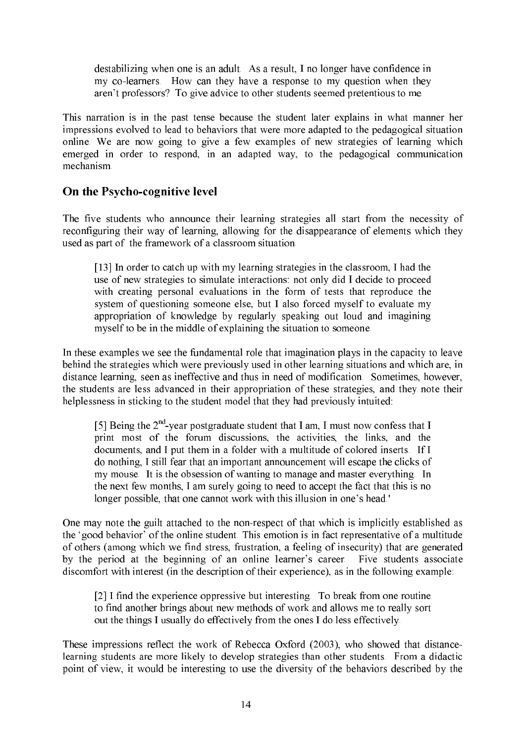destabilizing when one is an adult. As a result, I no longer have confidence in my co-learners. How can they have a response to my question when they aren't professors? To give advice to other students seemed pretentious to me.

This narration is in the past tense because the student later explains in what manner her impressions evolved to lead to behaviors that were more adapted to the pedagogical situation online. We are now going to give a few examples of new strategies of learning which emerged in order to respond, in an adapted way, to the pedagogical communication mechanism.

# On the Psycho-cognitive level

The five students who announce their learning strategies all start from the necessity of reconfiguring their way of learning, allowing for the disappearance of elements which they used as part of the framework of a classroom situation.

[13] In order to catch up with my learning strategies in the classroom, I had the use of new strategies to simulate interactions; not only did I decide to proceed with creating personal evaluations in the form of tests that reproduce the system of questioning someone else, but I also forced myself to evaluate my appropriation of knowledge by regularly speaking out loud and imagining myself to be in the middle of explaining the situation to someone.

In these examples we see the fundamental role that imagination plays in the capacity to leave behind the strategies which were previously used in other learning situations and which are, in distance learning, seen as ineffective and thus in need of modification. Sometimes, however, the students are less advanced in their appropriation of these strategies, and they note their helplessness in sticking to the student model that they had previously intuited:

[5] Being the 2<sup>nd</sup>-year postgraduate student that I am, I must now confess that I print most of the forum discussions, the activities, the links, and the documents, and I put them in a folder with a multitude of colored inserts. If I do nothing. I still fear that an important announcement will escape the clicks of my mouse. It is the obsession of wanting to manage and master everything. In the next few months, I am surely going to need to accept the fact that this is no longer possible, that one cannot work with this illusion in one's head.'

One may note the guilt attached to the non-respect of that which is implicitly established as the 'good behavior' of the online student. This emotion is in fact representative of a multitude of others (among which we find stress, frustration, a feeling of insecurity) that are generated by the period at the beginning of an online learner's career. Five students associate discomfort with interest (in the description of their experience), as in the following example:

[2] I find the experience oppressive but interesting. To break from one routine to find another brings about new methods of work and allows me to really sort out the things I usually do effectively from the ones I do less effectively.

These impressions reflect the work of Rebecca Oxford (2003), who showed that distancelearning students are more likely to develop strategies than other students. From a didactic point of view, it would be interesting to use the diversity of the behaviors described by the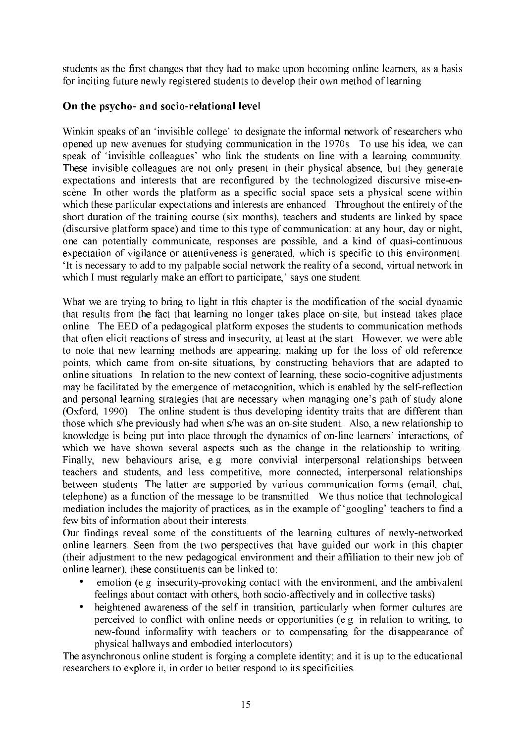students as the first changes that they had to make upon becoming online learners, as a basis for inciting future newly registered students to develop their own method of learning.

## On the psycho- and socio-relational level

Winkin speaks of an 'invisible college' to designate the informal network of researchers who opened up new avenues for studying communication in the 1970s. To use his idea, we can speak of 'invisible colleagues' who link the students on line with a learning community. These invisible colleagues are not only present in their physical absence, but they generate expectations and interests that are reconfigured by the technologized discursive mise-enscène. In other words the platform as a specific social space sets a physical scene within which these particular expectations and interests are enhanced. Throughout the entirety of the short duration of the training course (six months), teachers and students are linked by space (discursive platform space) and time to this type of communication: at any hour, day or night, one can potentially communicate, responses are possible, and a kind of quasi-continuous expectation of vigilance or attentiveness is generated, which is specific to this environment. 'It is necessary to add to my palpable social network the reality of a second, virtual network in which I must regularly make an effort to participate,' says one student.

What we are trying to bring to light in this chapter is the modification of the social dynamic that results from the fact that learning no longer takes place on-site, but instead takes place online. The EED of a pedagogical platform exposes the students to communication methods that often elicit reactions of stress and insecurity, at least at the start. However, we were able to note that new learning methods are appearing, making up for the loss of old reference points, which came from on-site situations, by constructing behaviors that are adapted to online situations. In relation to the new context of learning, these socio-cognitive adjustments may be facilitated by the emergence of metacognition, which is enabled by the self-reflection and personal learning strategies that are necessary when managing one's path of study alone (Oxford, 1990). The online student is thus developing identity traits that are different than those which s/he previously had when s/he was an on-site student. Also, a new relationship to knowledge is being put into place through the dynamics of on-line learners' interactions, of which we have shown several aspects such as the change in the relationship to writing. Finally, new behaviours arise, e.g. more convivial interpersonal relationships between teachers and students, and less competitive, more connected, interpersonal relationships between students. The latter are supported by various communication forms (email, chat, telephone) as a function of the message to be transmitted. We thus notice that technological mediation includes the majority of practices, as in the example of 'googling' teachers to find a few bits of information about their interests.

Our findings reveal some of the constituents of the learning cultures of newly-networked online learners. Seen from the two perspectives that have guided our work in this chapter (their adjustment to the new pedagogical environment and their affiliation to their new job of online learner), these constituents can be linked to:

- emotion (e.g. insecurity-provoking contact with the environment, and the ambivalent feelings about contact with others, both socio-affectively and in collective tasks)
- heightened awareness of the self in transition, particularly when former cultures are perceived to conflict with online needs or opportunities (e.g. in relation to writing, to new-found informality with teachers or to compensating for the disappearance of physical hallways and embodied interlocutors).

The asynchronous online student is forging a complete identity; and it is up to the educational researchers to explore it, in order to better respond to its specificities.